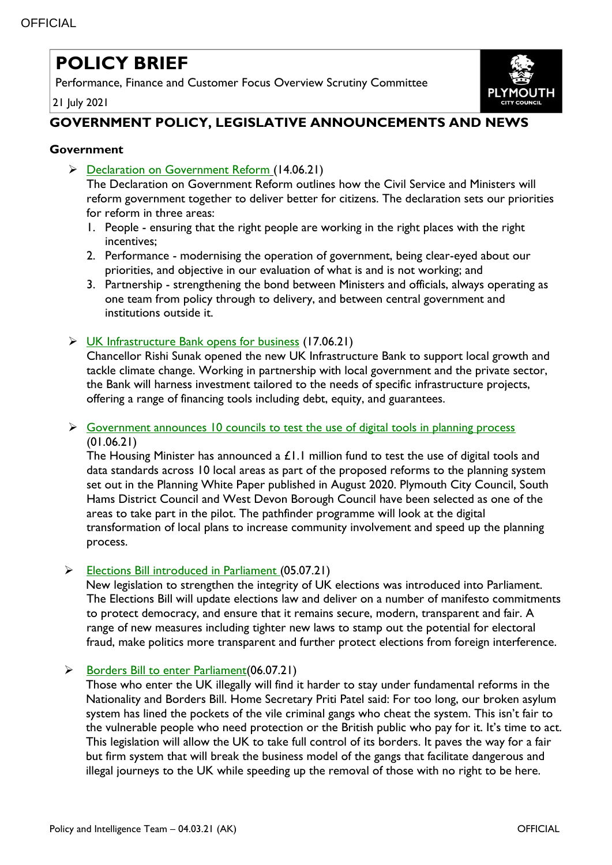# **POLICY BRIEF**

Performance, Finance and Customer Focus Overview Scrutiny Committee

21 July 2021



# **GOVERNMENT POLICY, LEGISLATIVE ANNOUNCEMENTS AND NEWS**

# **Government**

▶ Declaration [on Government Reform](https://www.gov.uk/government/publications/declaration-on-government-reform) (14.06.21)

The Declaration on Government Reform outlines how the Civil Service and Ministers will reform government together to deliver better for citizens. The declaration sets our priorities for reform in three areas:

- 1. People ensuring that the right people are working in the right places with the right incentives;
- 2. Performance modernising the operation of government, being clear-eyed about our priorities, and objective in our evaluation of what is and is not working; and
- 3. Partnership strengthening the bond between Ministers and officials, always operating as one team from policy through to delivery, and between central government and institutions outside it.
- [UK Infrastructure Bank opens for business](https://www.gov.uk/government/news/uk-infrastructure-bank-opens-for-business) (17.06.21)

Chancellor Rishi Sunak opened the new UK Infrastructure Bank to support local growth and tackle climate change. Working in partnership with local government and the private sector, the Bank will harness investment tailored to the needs of specific infrastructure projects, offering a range of financing tools including debt, equity, and guarantees.

 $\triangleright$  [Government announces 10 councils to test the use of digital tools in planning process](https://www.gov.uk/government/news/government-announces-10-councils-to-test-the-use-of-digital-tools-in-planning-process) (01.06.21)

The Housing Minister has announced a £1.1 million fund to test the use of digital tools and data standards across 10 local areas as part of the proposed reforms to the planning system set out in the Planning White Paper published in August 2020. Plymouth City Council, South Hams District Council and West Devon Borough Council have been selected as one of the areas to take part in the pilot. The pathfinder programme will look at the digital transformation of local plans to increase community involvement and speed up the planning process.

[Elections Bill introduced in Parliament \(](https://www.gov.uk/government/news/elections-bill-introduced-in-parliament-today)05.07.21)

New legislation to strengthen the integrity of UK elections was introduced into Parliament. The Elections Bill will update elections law and deliver on a number of manifesto commitments to protect democracy, and ensure that it remains secure, modern, transparent and fair. A range of new measures including tighter new laws to stamp out the potential for electoral fraud, make politics more transparent and further protect elections from foreign interference.

 $\triangleright$  Borders Bill to enter Parliament (06.07.21)

Those who enter the UK illegally will find it harder to stay under fundamental reforms in the Nationality and Borders Bill. Home Secretary Priti Patel said: For too long, our broken asylum system has lined the pockets of the vile criminal gangs who cheat the system. This isn't fair to the vulnerable people who need protection or the British public who pay for it. It's time to act. This legislation will allow the UK to take full control of its borders. It paves the way for a fair but firm system that will break the business model of the gangs that facilitate dangerous and illegal journeys to the UK while speeding up the removal of those with no right to be here.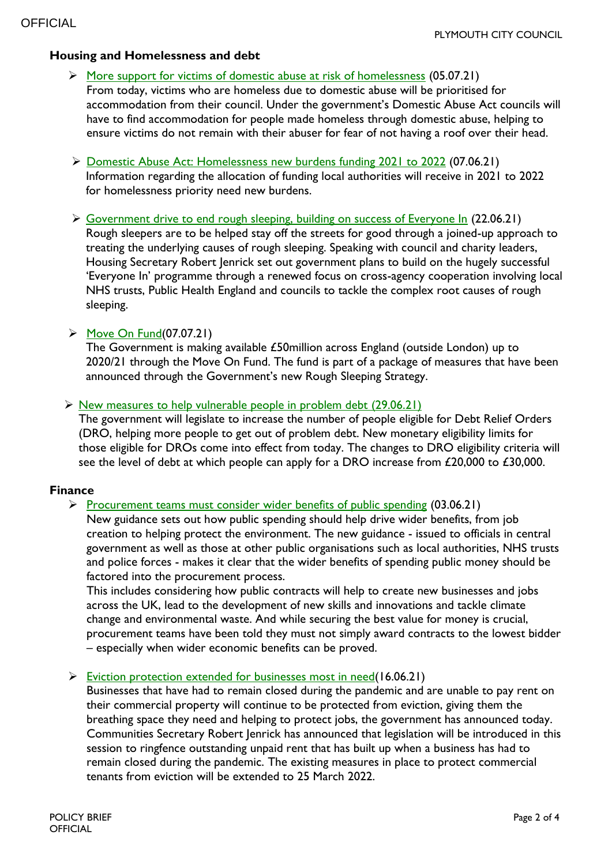## **Housing and Homelessness and debt**

- [More support for victims of domestic abuse at risk of homelessness](https://www.gov.uk/government/news/more-support-for-victims-of-domestic-abuse-at-risk-of-homelessness) (05.07.21) From today, victims who are homeless due to domestic abuse will be prioritised for accommodation from their council. Under the government's Domestic Abuse Act councils will have to find accommodation for people made homeless through domestic abuse, helping to ensure victims do not remain with their abuser for fear of not having a roof over their head.
- [Domestic Abuse Act: Homelessness new burdens funding 2021 to 2022](https://www.gov.uk/government/publications/domestic-abuse-act-homelessness-new-burdens-funding-2021-to-2022?utm_medium=email&utm_campaign=govuk-notifications&utm_source=1cc2edac-3a0f-4b03-9dff-9b94bb6b0e6c&utm_content=immediately) (07.06.21) Information regarding the allocation of funding local authorities will receive in 2021 to 2022 for homelessness priority need new burdens.
- [Government drive to end rough sleeping, building on success of Everyone In](https://www.gov.uk/government/news/government-continues-drive-to-end-rough-sleeping-building-on-success-of-everyone-in) (22.06.21) Rough sleepers are to be helped stay off the streets for good through a joined-up approach to treating the underlying causes of rough sleeping. Speaking with council and charity leaders, Housing Secretary Robert Jenrick set out government plans to build on the hugely successful 'Everyone In' programme through a renewed focus on cross-agency cooperation involving local NHS trusts, Public Health England and councils to tackle the complex root causes of rough sleeping.

#### $\triangleright$  [Move On Fund\(](https://www.gov.uk/government/publications/move-on-fund?utm_medium=email&utm_campaign=govuk-notifications&utm_source=a6695582-8182-4aee-b515-4753accabfd9&utm_content=immediately)07.07.21)

The Government is making available £50million across England (outside London) up to 2020/21 through the Move On Fund. The fund is part of a package of measures that have been announced through the Government's new Rough Sleeping Strategy.

#### Something [New measures to help vulnerable people in problem debt](https://www.gov.uk/government/news/new-measures-to-help-vulnerable-people-in-problem-debt) (29.06.21)

The government will legislate to increase the number of people eligible for Debt Relief Orders (DRO, helping more people to get out of problem debt. New monetary eligibility limits for those eligible for DROs come into effect from today. The changes to DRO eligibility criteria will see the level of debt at which people can apply for a DRO increase from £20,000 to £30,000.

#### **Finance**

#### [Procurement teams must consider wider benefits of public spending](https://www.gov.uk/government/news/procurement-teams-must-consider-wider-benefits-of-public-spending?utm_medium=email&utm_campaign=govuk-notifications&utm_source=4ccb4191-d62d-47b3-a085-beaa66efa0a1&utm_content=immediately)  $(03.06.21)$

New guidance sets out how public spending should help drive wider benefits, from job creation to helping protect the environment. The new guidance - issued to officials in central government as well as those at other public organisations such as local authorities, NHS trusts and police forces - makes it clear that the wider benefits of spending public money should be factored into the procurement process.

This includes considering how public contracts will help to create new businesses and jobs across the UK, lead to the development of new skills and innovations and tackle climate change and environmental waste. And while securing the best value for money is crucial, procurement teams have been told they must not simply award contracts to the lowest bidder – especially when wider economic benefits can be proved.

#### $\triangleright$  [Eviction protection extended for businesses most in need\(](https://www.gov.uk/government/news/eviction-protection-extended-for-businesses-most-in-need)16.06.21)

Businesses that have had to remain closed during the pandemic and are unable to pay rent on their commercial property will continue to be protected from eviction, giving them the breathing space they need and helping to protect jobs, the government has announced today. Communities Secretary Robert Jenrick has announced that legislation will be introduced in this session to ringfence outstanding unpaid rent that has built up when a business has had to remain closed during the pandemic. The existing measures in place to protect commercial tenants from eviction will be extended to 25 March 2022.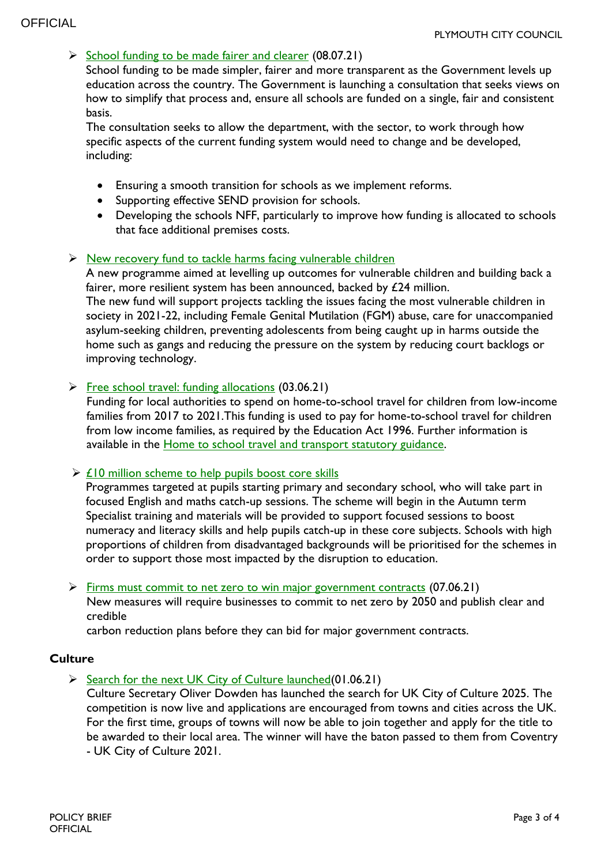# $\triangleright$  [School funding to be made fairer and clearer](https://www.gov.uk/government/news/school-funding-to-be-made-fairer-and-clearer?utm_medium=email&utm_campaign=govuk-notifications&utm_source=e41296bb-4f2e-45b6-ab1c-e18805dbd55e&utm_content=immediately) (08.07.21)

School funding to be made simpler, fairer and more transparent as the Government levels up education across the country. The Government is launching a consultation that seeks views on how to simplify that process and, ensure all schools are funded on a single, fair and consistent basis.

The consultation seeks to allow the department, with the sector, to work through how specific aspects of the current funding system would need to change and be developed, including:

- Ensuring a smooth transition for schools as we implement reforms.
- Supporting effective SEND provision for schools.
- Developing the schools NFF, particularly to improve how funding is allocated to schools that face additional premises costs.

#### $\triangleright$  [New recovery fund to tackle harms facing vulnerable children](https://www.gov.uk/government/news/new-recovery-fund-to-tackle-harms-facing-vulnerable-children?utm_medium=email&utm_campaign=govuk-notifications&utm_source=ed3bb4da-5690-4093-bbf0-d5f37ffa4e50&utm_content=immediately)

A new programme aimed at levelling up outcomes for vulnerable children and building back a fairer, more resilient system has been announced, backed by £24 million. The new fund will support projects tackling the issues facing the most vulnerable children in society in 2021-22, including Female Genital Mutilation (FGM) abuse, care for unaccompanied asylum-seeking children, preventing adolescents from being caught up in harms outside the home such as gangs and reducing the pressure on the system by reducing court backlogs or improving technology.

#### [Free school travel: funding allocations](https://www.gov.uk/government/publications/extended-rights-to-free-school-travel--2?utm_medium=email&utm_campaign=govuk-notifications&utm_source=7511d245-ca3e-4c43-8fda-d27737eba6c2&utm_content=immediately) (03.06.21)

Funding for local authorities to spend on home-to-school travel for children from low-income families from 2017 to 2021.This funding is used to pay for home-to-school travel for children from low income families, as required by the Education Act 1996. Further information is available in the [Home to school travel and transport statutory guidance.](https://www.gov.uk/government/publications/home-to-school-travel-and-transport-guidance)

#### $\triangleright$  [£10 million scheme to help pupils boost core skills](https://www.gov.uk/government/news/10-million-scheme-to-help-pupils-boost-core-skills?utm_medium=email&utm_campaign=govuk-notifications&utm_source=c09a4e38-c2de-48a9-8436-c1c5320e5516&utm_content=immediately)

Programmes targeted at pupils starting primary and secondary school, who will take part in focused English and maths catch-up sessions. The scheme will begin in the Autumn term Specialist training and materials will be provided to support focused sessions to boost numeracy and literacy skills and help pupils catch-up in these core subjects. Schools with high proportions of children from disadvantaged backgrounds will be prioritised for the schemes in order to support those most impacted by the disruption to education.

#### $\triangleright$  [Firms must commit to net zero to win major government contracts](https://www.gov.uk/government/news/firms-must-commit-to-net-zero-to-win-major-government-contracts?utm_medium=email&utm_campaign=govuk-notifications&utm_source=5d4e4227-5e66-46cd-ac27-e8b7b3e66aa0&utm_content=immediately) (07.06.21)

New measures will require businesses to commit to net zero by 2050 and publish clear and credible

carbon reduction plans before they can bid for major government contracts.

## **Culture**

 $\triangleright$  [Search for the next UK City of Culture launched\(](https://www.gov.uk/government/news/search-for-the-next-uk-city-of-culture-launched)01.06.21)

Culture Secretary Oliver Dowden has launched the search for UK City of Culture 2025. The competition is now live and applications are encouraged from towns and cities across the UK. For the first time, groups of towns will now be able to join together and apply for the title to be awarded to their local area. The winner will have the baton passed to them from Coventry - UK City of Culture 2021.